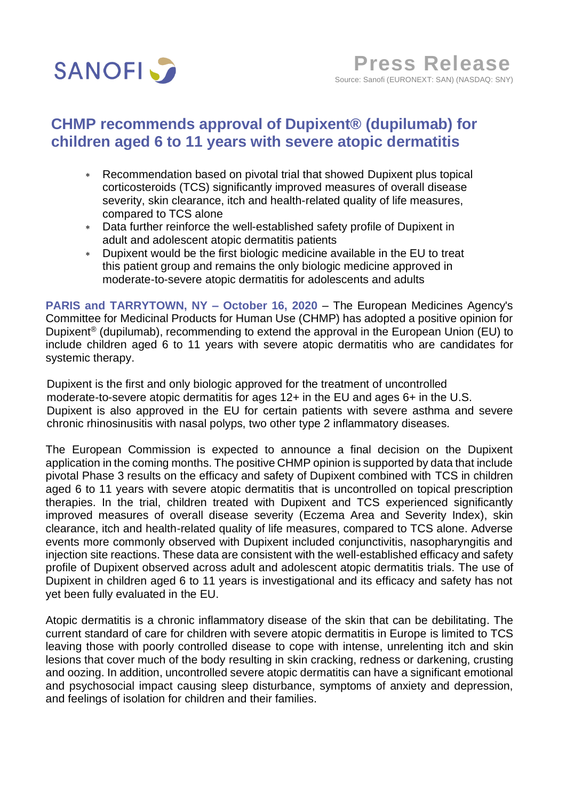

# **CHMP recommends approval of Dupixent® (dupilumab) for children aged 6 to 11 years with severe atopic dermatitis**

- Recommendation based on pivotal trial that showed Dupixent plus topical corticosteroids (TCS) significantly improved measures of overall disease severity, skin clearance, itch and health-related quality of life measures, compared to TCS alone
- Data further reinforce the well-established safety profile of Dupixent in adult and adolescent atopic dermatitis patients
- Dupixent would be the first biologic medicine available in the EU to treat this patient group and remains the only biologic medicine approved in moderate-to-severe atopic dermatitis for adolescents and adults

**PARIS and TARRYTOWN, NY – October 16, 2020** – The European Medicines Agency's Committee for Medicinal Products for Human Use (CHMP) has adopted a positive opinion for Dupixent® (dupilumab), recommending to extend the approval in the European Union (EU) to include children aged 6 to 11 years with severe atopic dermatitis who are candidates for systemic therapy.

Dupixent is the first and only biologic approved for the treatment of uncontrolled moderate-to-severe atopic dermatitis for ages 12+ in the EU and ages 6+ in the U.S. Dupixent is also approved in the EU for certain patients with severe asthma and severe chronic rhinosinusitis with nasal polyps, two other type 2 inflammatory diseases.

The European Commission is expected to announce a final decision on the Dupixent application in the coming months. The positive CHMP opinion is supported by data that include pivotal Phase 3 results on the efficacy and safety of Dupixent combined with TCS in children aged 6 to 11 years with severe atopic dermatitis that is uncontrolled on topical prescription therapies. In the trial, children treated with Dupixent and TCS experienced significantly improved measures of overall disease severity (Eczema Area and Severity Index), skin clearance, itch and health-related quality of life measures, compared to TCS alone. Adverse events more commonly observed with Dupixent included conjunctivitis, nasopharyngitis and injection site reactions. These data are consistent with the well-established efficacy and safety profile of Dupixent observed across adult and adolescent atopic dermatitis trials. The use of Dupixent in children aged 6 to 11 years is investigational and its efficacy and safety has not yet been fully evaluated in the EU.

Atopic dermatitis is a chronic inflammatory disease of the skin that can be debilitating. The current standard of care for children with severe atopic dermatitis in Europe is limited to TCS leaving those with poorly controlled disease to cope with intense, unrelenting itch and skin lesions that cover much of the body resulting in skin cracking, redness or darkening, crusting and oozing. In addition, uncontrolled severe atopic dermatitis can have a significant emotional and psychosocial impact causing sleep disturbance, symptoms of anxiety and depression, and feelings of isolation for children and their families.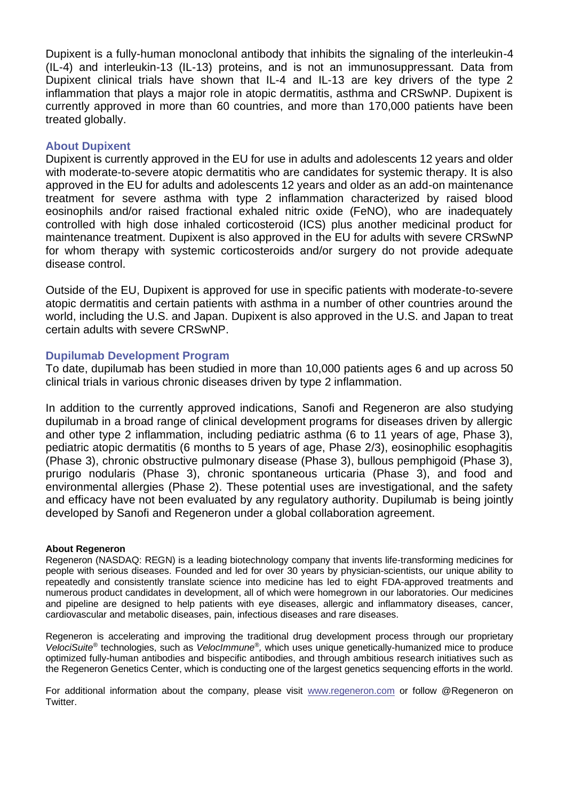Dupixent is a fully-human monoclonal antibody that inhibits the signaling of the interleukin-4 (IL-4) and interleukin-13 (IL-13) proteins, and is not an immunosuppressant. Data from Dupixent clinical trials have shown that IL-4 and IL-13 are key drivers of the type 2 inflammation that plays a major role in atopic dermatitis, asthma and CRSwNP. Dupixent is currently approved in more than 60 countries, and more than 170,000 patients have been treated globally.

# **About Dupixent**

Dupixent is currently approved in the EU for use in adults and adolescents 12 years and older with moderate-to-severe atopic dermatitis who are candidates for systemic therapy. It is also approved in the EU for adults and adolescents 12 years and older as an add-on maintenance treatment for severe asthma with type 2 inflammation characterized by raised blood eosinophils and/or raised fractional exhaled nitric oxide (FeNO), who are inadequately controlled with high dose inhaled corticosteroid (ICS) plus another medicinal product for maintenance treatment. Dupixent is also approved in the EU for adults with severe CRSwNP for whom therapy with systemic corticosteroids and/or surgery do not provide adequate disease control.

Outside of the EU, Dupixent is approved for use in specific patients with moderate-to-severe atopic dermatitis and certain patients with asthma in a number of other countries around the world, including the U.S. and Japan. Dupixent is also approved in the U.S. and Japan to treat certain adults with severe CRSwNP.

## **Dupilumab Development Program**

To date, dupilumab has been studied in more than 10,000 patients ages 6 and up across 50 clinical trials in various chronic diseases driven by type 2 inflammation.

In addition to the currently approved indications, Sanofi and Regeneron are also studying dupilumab in a broad range of clinical development programs for diseases driven by allergic and other type 2 inflammation, including pediatric asthma (6 to 11 years of age, Phase 3), pediatric atopic dermatitis (6 months to 5 years of age, Phase 2/3), eosinophilic esophagitis (Phase 3), chronic obstructive pulmonary disease (Phase 3), bullous pemphigoid (Phase 3), prurigo nodularis (Phase 3), chronic spontaneous urticaria (Phase 3), and food and environmental allergies (Phase 2). These potential uses are investigational, and the safety and efficacy have not been evaluated by any regulatory authority. Dupilumab is being jointly developed by Sanofi and Regeneron under a global collaboration agreement.

## **About Regeneron**

Regeneron (NASDAQ: REGN) is a leading biotechnology company that invents life-transforming medicines for people with serious diseases. Founded and led for over 30 years by physician-scientists, our unique ability to repeatedly and consistently translate science into medicine has led to eight FDA-approved treatments and numerous product candidates in development, all of which were homegrown in our laboratories. Our medicines and pipeline are designed to help patients with eye diseases, allergic and inflammatory diseases, cancer, cardiovascular and metabolic diseases, pain, infectious diseases and rare diseases.

Regeneron is accelerating and improving the traditional drug development process through our proprietary VelociSuite<sup>®</sup> technologies, such as *VelocImmune®*, which uses unique genetically-humanized mice to produce optimized fully-human antibodies and bispecific antibodies, and through ambitious research initiatives such as the Regeneron Genetics Center, which is conducting one of the largest genetics sequencing efforts in the world.

For additional information about the company, please visit [www.regeneron.com](https://urldefense.proofpoint.com/v2/url?u=http-3A__www.regeneron.com&d=DwQGaQ&c=Dbf9zoswcQ-CRvvI7VX5j3HvibIuT3ZiarcKl5qtMPo&r=U-yjFaDz1nYyKQUMvePnQ5E0Zw4HSwFEZ3DXm_Mw2Rg&m=76aZT4tucLbVJiBQ8i3RJDc373qgsQBXKOckvugSMHc&s=6gzSxMNrdIKRi6zI8vzWuML1SpRMNerWcOWT2bmG_bk&e=) or follow @Regeneron on Twitter.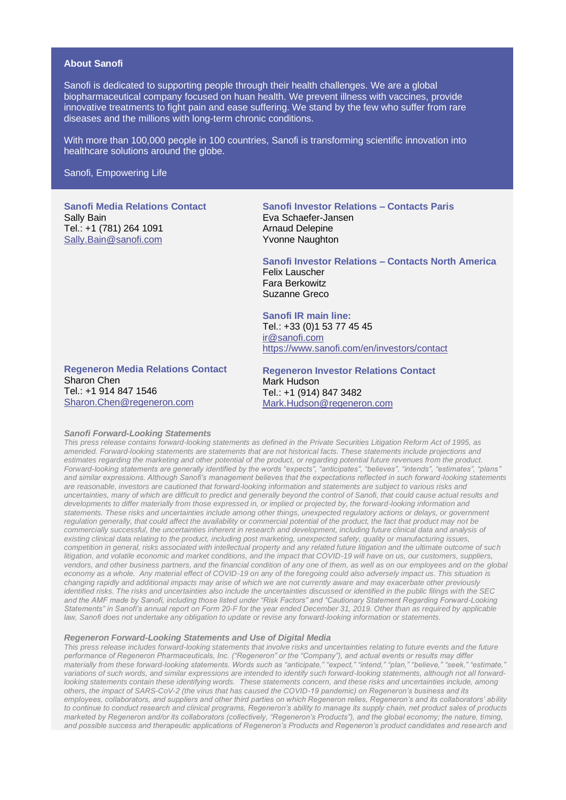#### **About Sanofi**

Sanofi is dedicated to supporting people through their health challenges. We are a global biopharmaceutical company focused on huan health. We prevent illness with vaccines, provide innovative treatments to fight pain and ease suffering. We stand by the few who suffer from rare diseases and the millions with long-term chronic conditions.

With more than 100,000 people in 100 countries, Sanofi is transforming scientific innovation into healthcare solutions around the globe.

Sanofi, Empowering Life

**Sanofi Media Relations Contact** Sally Bain Tel.: +1 (781) 264 1091 [Sally.Bain@sanofi.com](mailto:Sally.Bain@sanofi.com) 

**Sanofi Investor Relations – Contacts Paris** Eva Schaefer-Jansen Arnaud Delepine Yvonne Naughton

**Sanofi Investor Relations – Contacts North America** Felix Lauscher Fara Berkowitz Suzanne Greco

**Sanofi IR main line:** Tel.: +33 (0)1 53 77 45 45 [ir@sanofi.com](mailto:ir@sanofi.com) https://www.sanofi.com/en/investors/contact

**Regeneron Media Relations Contact** Sharon Chen Tel.: +1 914 847 1546 [Sharon.Chen@regeneron.com](mailto:Sharon.chen@regeneron.com)

**Regeneron Investor Relations Contact** Mark Hudson Tel.: +1 (914) 847 3482 Mark.Hudson@regeneron.com

#### *Sanofi Forward-Looking Statements*

*This press release contains forward-looking statements as defined in the Private Securities Litigation Reform Act of 1995, as amended. Forward-looking statements are statements that are not historical facts. These statements include projections and estimates regarding the marketing and other potential of the product, or regarding potential future revenues from the product. Forward-looking statements are generally identified by the words "expects", "anticipates", "believes", "intends", "estimates", "plans" and similar expressions. Although Sanofi's management believes that the expectations reflected in such forward-looking statements are reasonable, investors are cautioned that forward-looking information and statements are subject to various risks and uncertainties, many of which are difficult to predict and generally beyond the control of Sanofi, that could cause actual results and*  developments to differ materially from those expressed in, or implied or projected by, the forward-looking information and *statements. These risks and uncertainties include among other things, unexpected regulatory actions or delays, or government*  regulation generally, that could affect the availability or commercial potential of the product, the fact that product may not be *commercially successful, the uncertainties inherent in research and development, including future clinical data and analysis of existing clinical data relating to the product, including post marketing, unexpected safety, quality or manufacturing issues, competition in general, risks associated with intellectual property and any related future litigation and the ultimate outcome of such litigation, and volatile economic and market conditions, and the impact that COVID-19 will have on us, our customers, suppliers, vendors, and other business partners, and the financial condition of any one of them, as well as on our employees and on the global economy as a whole. Any material effect of COVID-19 on any of the foregoing could also adversely impact us. This situation is changing rapidly and additional impacts may arise of which we are not currently aware and may exacerbate other previously identified risks. The risks and uncertainties also include the uncertainties discussed or identified in the public filings with the SEC and the AMF made by Sanofi, including those listed under "Risk Factors" and "Cautionary Statement Regarding Forward-Looking Statements" in Sanofi's annual report on Form 20-F for the year ended December 31, 2019. Other than as required by applicable law, Sanofi does not undertake any obligation to update or revise any forward-looking information or statements.*

#### *Regeneron Forward-Looking Statements and Use of Digital Media*

*This press release includes forward-looking statements that involve risks and uncertainties relating to future events and the future performance of Regeneron Pharmaceuticals, Inc. ("Regeneron" or the "Company"), and actual events or results may differ materially from these forward-looking statements. Words such as "anticipate," "expect," "intend," "plan," "believe," "seek," "estimate," variations of such words, and similar expressions are intended to identify such forward-looking statements, although not all forward*looking statements contain these identifying words. These statements concern, and these risks and uncertainties include, among *others, the impact of SARS-CoV-2 (the virus that has caused the COVID-19 pandemic) on Regeneron's business and its employees, collaborators, and suppliers and other third parties on which Regeneron relies, Regeneron's and its collaborators' ability to continue to conduct research and clinical programs, Regeneron's ability to manage its supply chain, net product sales of products marketed by Regeneron and/or its collaborators (collectively, "Regeneron's Products"), and the global economy; the nature, timing, and possible success and therapeutic applications of Regeneron's Products and Regeneron's product candidates and research and*